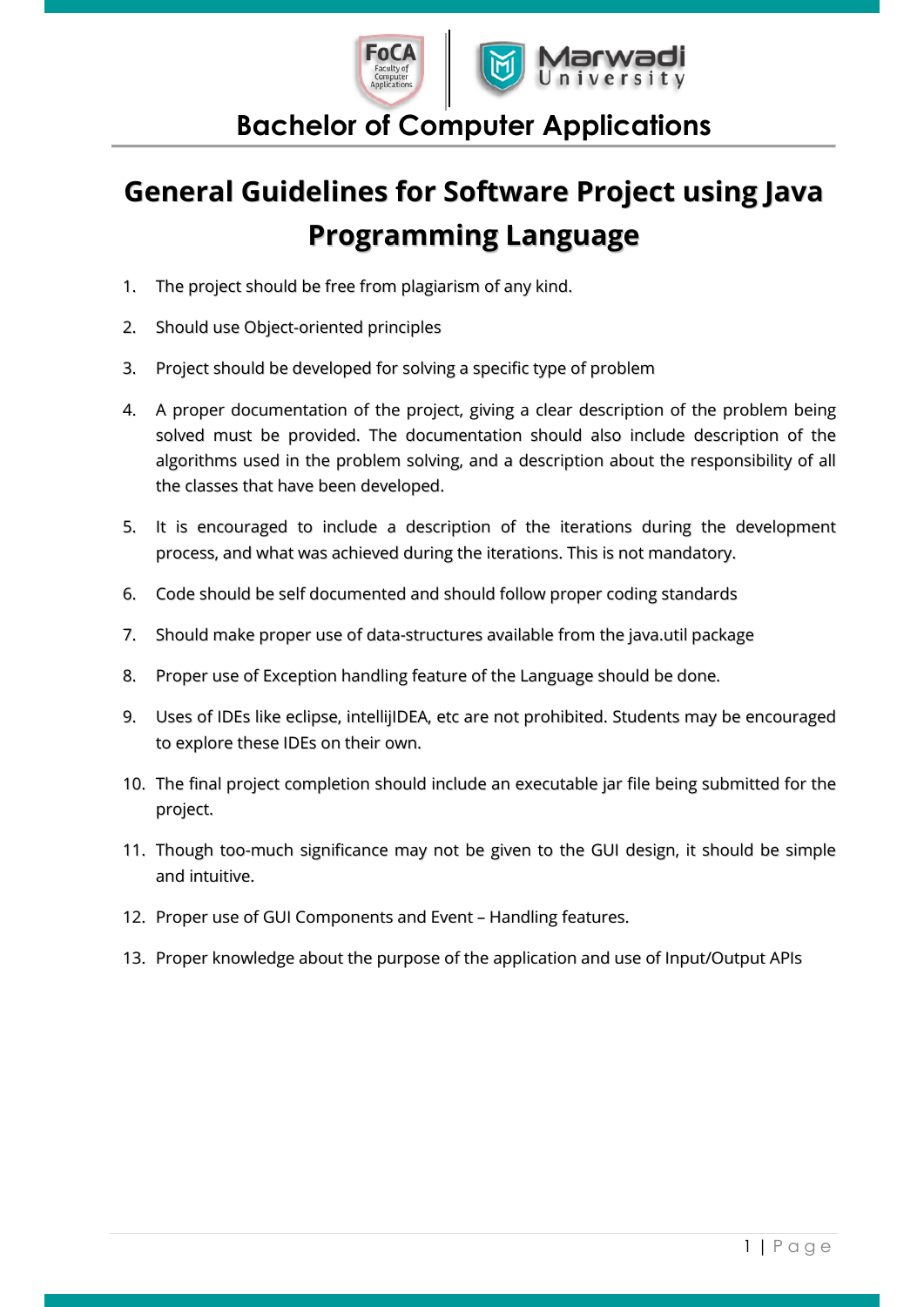

#### **Bachelor of Computer Applications**

## **General Guidelines for Software Project using Java Programming Language**

- 1. The project should be free from plagiarism of any kind.
- 2. Should use Object-oriented principles
- 3. Project should be developed for solving a specific type of problem
- 4. A proper documentation of the project, giving a clear description of the problem being solved must be provided. The documentation should also include description of the algorithms used in the problem solving, and a description about the responsibility of all the classes that have been developed.
- 5. It is encouraged to include a description of the iterations during the development process, and what was achieved during the iterations. This is not mandatory.
- 6. Code should be self documented and should follow proper coding standards
- 7. Should make proper use of data-structures available from the java.util package
- 8. Proper use of Exception handling feature of the Language should be done.
- 9. Uses of IDEs like eclipse, intellijIDEA, etc are not prohibited. Students may be encouraged to explore these IDEs on their own.
- 10. The final project completion should include an executable jar file being submitted for the project.
- 11. Though too-much significance may not be given to the GUI design, it should be simple and intuitive.
- 12. Proper use of GUI Components and Event Handling features.
- 13. Proper knowledge about the purpose of the application and use of Input/Output APIs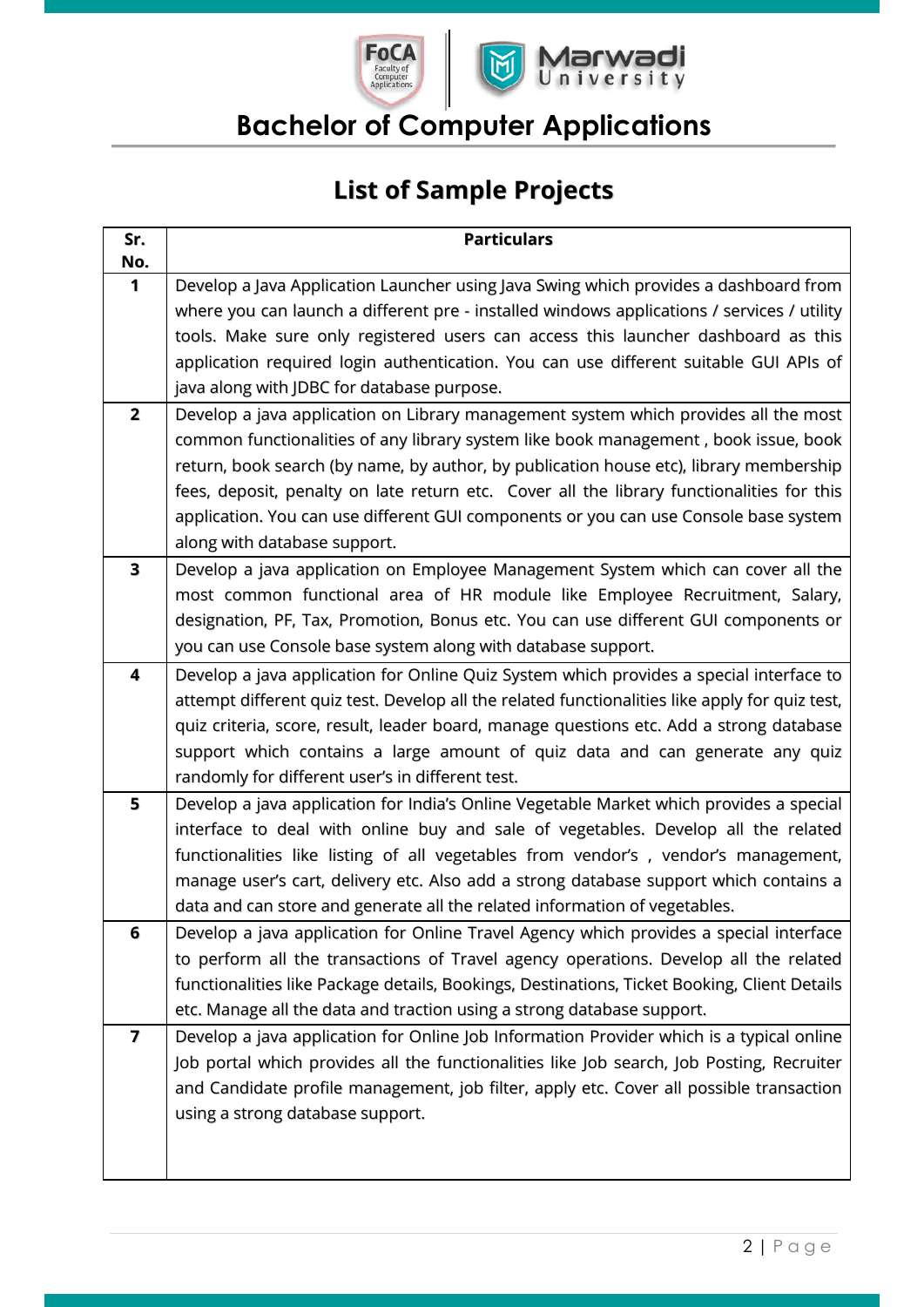



### **Bachelor of Computer Applications**

#### **List of Sample Projects**

| Sr.<br>No.     | <b>Particulars</b>                                                                             |
|----------------|------------------------------------------------------------------------------------------------|
| 1              | Develop a Java Application Launcher using Java Swing which provides a dashboard from           |
|                | where you can launch a different pre - installed windows applications / services / utility     |
|                | tools. Make sure only registered users can access this launcher dashboard as this              |
|                | application required login authentication. You can use different suitable GUI APIs of          |
|                | java along with JDBC for database purpose.                                                     |
| $\overline{2}$ | Develop a java application on Library management system which provides all the most            |
|                | common functionalities of any library system like book management, book issue, book            |
|                | return, book search (by name, by author, by publication house etc), library membership         |
|                | fees, deposit, penalty on late return etc. Cover all the library functionalities for this      |
|                | application. You can use different GUI components or you can use Console base system           |
|                | along with database support.                                                                   |
| 3              | Develop a java application on Employee Management System which can cover all the               |
|                | most common functional area of HR module like Employee Recruitment, Salary,                    |
|                | designation, PF, Tax, Promotion, Bonus etc. You can use different GUI components or            |
|                | you can use Console base system along with database support.                                   |
| 4              | Develop a java application for Online Quiz System which provides a special interface to        |
|                | attempt different quiz test. Develop all the related functionalities like apply for quiz test, |
|                | quiz criteria, score, result, leader board, manage questions etc. Add a strong database        |
|                | support which contains a large amount of quiz data and can generate any quiz                   |
|                | randomly for different user's in different test.                                               |
| 5              | Develop a java application for India's Online Vegetable Market which provides a special        |
|                | interface to deal with online buy and sale of vegetables. Develop all the related              |
|                | functionalities like listing of all vegetables from vendor's, vendor's management,             |
|                | manage user's cart, delivery etc. Also add a strong database support which contains a          |
|                | data and can store and generate all the related information of vegetables.                     |
| 6              | Develop a java application for Online Travel Agency which provides a special interface         |
|                | to perform all the transactions of Travel agency operations. Develop all the related           |
|                | functionalities like Package details, Bookings, Destinations, Ticket Booking, Client Details   |
|                | etc. Manage all the data and traction using a strong database support.                         |
| 7              | Develop a java application for Online Job Information Provider which is a typical online       |
|                | Job portal which provides all the functionalities like Job search, Job Posting, Recruiter      |
|                | and Candidate profile management, job filter, apply etc. Cover all possible transaction        |
|                | using a strong database support.                                                               |
|                |                                                                                                |
|                |                                                                                                |